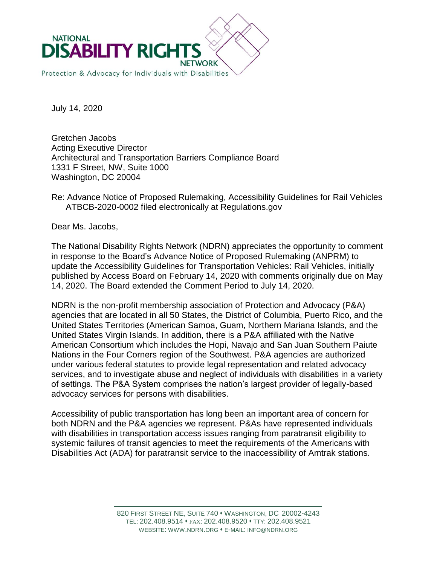

July 14, 2020

Gretchen Jacobs Acting Executive Director Architectural and Transportation Barriers Compliance Board 1331 F Street, NW, Suite 1000 Washington, DC 20004

Re: Advance Notice of Proposed Rulemaking, Accessibility Guidelines for Rail Vehicles ATBCB-2020-0002 filed electronically at Regulations.gov

Dear Ms. Jacobs,

The National Disability Rights Network (NDRN) appreciates the opportunity to comment in response to the Board's Advance Notice of Proposed Rulemaking (ANPRM) to update the Accessibility Guidelines for Transportation Vehicles: Rail Vehicles, initially published by Access Board on February 14, 2020 with comments originally due on May 14, 2020. The Board extended the Comment Period to July 14, 2020.

NDRN is the non-profit membership association of Protection and Advocacy (P&A) agencies that are located in all 50 States, the District of Columbia, Puerto Rico, and the United States Territories (American Samoa, Guam, Northern Mariana Islands, and the United States Virgin Islands. In addition, there is a P&A affiliated with the Native American Consortium which includes the Hopi, Navajo and San Juan Southern Paiute Nations in the Four Corners region of the Southwest. P&A agencies are authorized under various federal statutes to provide legal representation and related advocacy services, and to investigate abuse and neglect of individuals with disabilities in a variety of settings. The P&A System comprises the nation's largest provider of legally-based advocacy services for persons with disabilities.

Accessibility of public transportation has long been an important area of concern for both NDRN and the P&A agencies we represent. P&As have represented individuals with disabilities in transportation access issues ranging from paratransit eligibility to systemic failures of transit agencies to meet the requirements of the Americans with Disabilities Act (ADA) for paratransit service to the inaccessibility of Amtrak stations.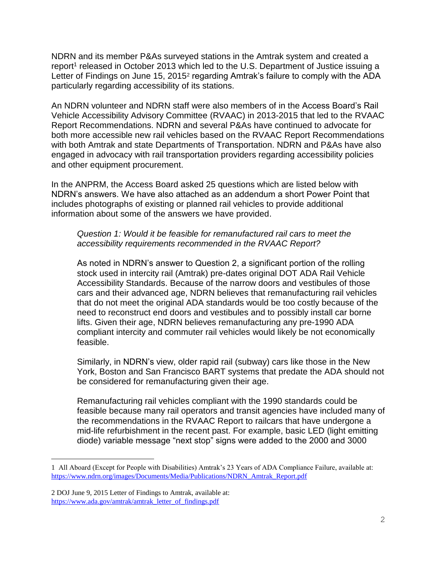NDRN and its member P&As surveyed stations in the Amtrak system and created a report<sup>1</sup> released in October 2013 which led to the U.S. Department of Justice issuing a Letter of Findings on June 15, 2015<sup>2</sup> regarding Amtrak's failure to comply with the ADA particularly regarding accessibility of its stations.

An NDRN volunteer and NDRN staff were also members of in the Access Board's Rail Vehicle Accessibility Advisory Committee (RVAAC) in 2013-2015 that led to the RVAAC Report Recommendations. NDRN and several P&As have continued to advocate for both more accessible new rail vehicles based on the RVAAC Report Recommendations with both Amtrak and state Departments of Transportation. NDRN and P&As have also engaged in advocacy with rail transportation providers regarding accessibility policies and other equipment procurement.

In the ANPRM, the Access Board asked 25 questions which are listed below with NDRN's answers. We have also attached as an addendum a short Power Point that includes photographs of existing or planned rail vehicles to provide additional information about some of the answers we have provided.

## *Question 1: Would it be feasible for remanufactured rail cars to meet the accessibility requirements recommended in the RVAAC Report?*

As noted in NDRN's answer to Question 2, a significant portion of the rolling stock used in intercity rail (Amtrak) pre-dates original DOT ADA Rail Vehicle Accessibility Standards. Because of the narrow doors and vestibules of those cars and their advanced age, NDRN believes that remanufacturing rail vehicles that do not meet the original ADA standards would be too costly because of the need to reconstruct end doors and vestibules and to possibly install car borne lifts. Given their age, NDRN believes remanufacturing any pre-1990 ADA compliant intercity and commuter rail vehicles would likely be not economically feasible.

Similarly, in NDRN's view, older rapid rail (subway) cars like those in the New York, Boston and San Francisco BART systems that predate the ADA should not be considered for remanufacturing given their age.

Remanufacturing rail vehicles compliant with the 1990 standards could be feasible because many rail operators and transit agencies have included many of the recommendations in the RVAAC Report to railcars that have undergone a mid-life refurbishment in the recent past. For example, basic LED (light emitting diode) variable message "next stop" signs were added to the 2000 and 3000

a<br>B

<sup>1</sup> All Aboard (Except for People with Disabilities) Amtrak's 23 Years of ADA Compliance Failure, available at: [https://www.ndrn.org/images/Documents/Media/Publications/NDRN\\_Amtrak\\_Report.pdf](https://www.ndrn.org/images/Documents/Media/Publications/NDRN_Amtrak_Report.pdf)

<sup>2</sup> DOJ June 9, 2015 Letter of Findings to Amtrak, available at: [https://www.ada.gov/amtrak/amtrak\\_letter\\_of\\_findings.pdf](https://www.ada.gov/amtrak/amtrak_letter_of_findings.pdf)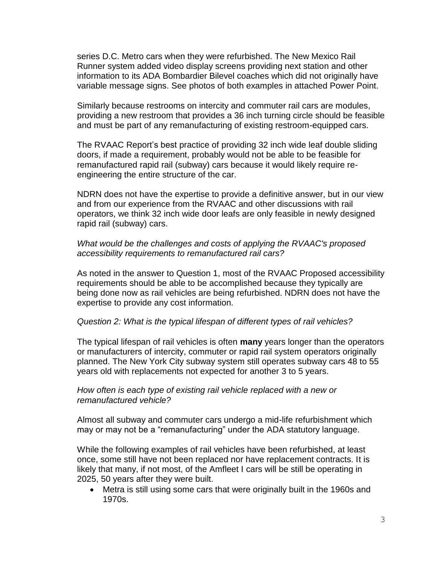series D.C. Metro cars when they were refurbished. The New Mexico Rail Runner system added video display screens providing next station and other information to its ADA Bombardier Bilevel coaches which did not originally have variable message signs. See photos of both examples in attached Power Point.

Similarly because restrooms on intercity and commuter rail cars are modules, providing a new restroom that provides a 36 inch turning circle should be feasible and must be part of any remanufacturing of existing restroom-equipped cars.

The RVAAC Report's best practice of providing 32 inch wide leaf double sliding doors, if made a requirement, probably would not be able to be feasible for remanufactured rapid rail (subway) cars because it would likely require reengineering the entire structure of the car.

NDRN does not have the expertise to provide a definitive answer, but in our view and from our experience from the RVAAC and other discussions with rail operators, we think 32 inch wide door leafs are only feasible in newly designed rapid rail (subway) cars.

### *What would be the challenges and costs of applying the RVAAC's proposed accessibility requirements to remanufactured rail cars?*

As noted in the answer to Question 1, most of the RVAAC Proposed accessibility requirements should be able to be accomplished because they typically are being done now as rail vehicles are being refurbished. NDRN does not have the expertise to provide any cost information.

### *Question 2: What is the typical lifespan of different types of rail vehicles?*

The typical lifespan of rail vehicles is often **many** years longer than the operators or manufacturers of intercity, commuter or rapid rail system operators originally planned. The New York City subway system still operates subway cars 48 to 55 years old with replacements not expected for another 3 to 5 years.

### *How often is each type of existing rail vehicle replaced with a new or remanufactured vehicle?*

Almost all subway and commuter cars undergo a mid-life refurbishment which may or may not be a "remanufacturing" under the ADA statutory language.

While the following examples of rail vehicles have been refurbished, at least once, some still have not been replaced nor have replacement contracts. It is likely that many, if not most, of the Amfleet I cars will be still be operating in 2025, 50 years after they were built.

 Metra is still using some cars that were originally built in the 1960s and 1970s.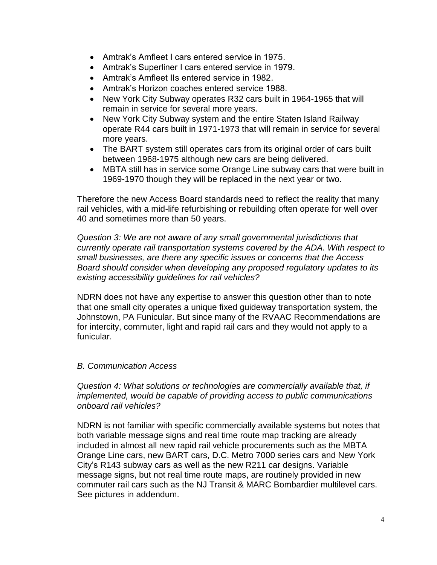- Amtrak's Amfleet I cars entered service in 1975.
- Amtrak's Superliner I cars entered service in 1979.
- Amtrak's Amfleet IIs entered service in 1982.
- Amtrak's Horizon coaches entered service 1988.
- New York City Subway operates R32 cars built in 1964-1965 that will remain in service for several more years.
- New York City Subway system and the entire Staten Island Railway operate R44 cars built in 1971-1973 that will remain in service for several more years.
- The BART system still operates cars from its original order of cars built between 1968-1975 although new cars are being delivered.
- MBTA still has in service some Orange Line subway cars that were built in 1969-1970 though they will be replaced in the next year or two.

Therefore the new Access Board standards need to reflect the reality that many rail vehicles, with a mid-life refurbishing or rebuilding often operate for well over 40 and sometimes more than 50 years.

*Question 3: We are not aware of any small governmental jurisdictions that currently operate rail transportation systems covered by the ADA. With respect to small businesses, are there any specific issues or concerns that the Access Board should consider when developing any proposed regulatory updates to its existing accessibility guidelines for rail vehicles?*

NDRN does not have any expertise to answer this question other than to note that one small city operates a unique fixed guideway transportation system, the Johnstown, PA Funicular. But since many of the RVAAC Recommendations are for intercity, commuter, light and rapid rail cars and they would not apply to a funicular.

### *B. Communication Access*

*Question 4: What solutions or technologies are commercially available that, if implemented, would be capable of providing access to public communications onboard rail vehicles?*

NDRN is not familiar with specific commercially available systems but notes that both variable message signs and real time route map tracking are already included in almost all new rapid rail vehicle procurements such as the MBTA Orange Line cars, new BART cars, D.C. Metro 7000 series cars and New York City's R143 subway cars as well as the new R211 car designs. Variable message signs, but not real time route maps, are routinely provided in new commuter rail cars such as the NJ Transit & MARC Bombardier multilevel cars. See pictures in addendum.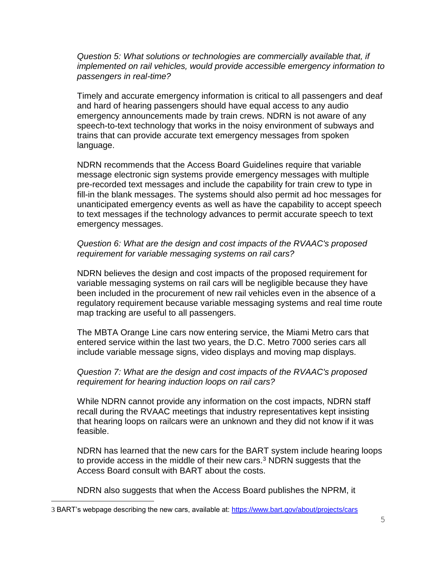*Question 5: What solutions or technologies are commercially available that, if implemented on rail vehicles, would provide accessible emergency information to passengers in real-time?*

Timely and accurate emergency information is critical to all passengers and deaf and hard of hearing passengers should have equal access to any audio emergency announcements made by train crews. NDRN is not aware of any speech-to-text technology that works in the noisy environment of subways and trains that can provide accurate text emergency messages from spoken language.

NDRN recommends that the Access Board Guidelines require that variable message electronic sign systems provide emergency messages with multiple pre-recorded text messages and include the capability for train crew to type in fill-in the blank messages. The systems should also permit ad hoc messages for unanticipated emergency events as well as have the capability to accept speech to text messages if the technology advances to permit accurate speech to text emergency messages.

## *Question 6: What are the design and cost impacts of the RVAAC's proposed requirement for variable messaging systems on rail cars?*

NDRN believes the design and cost impacts of the proposed requirement for variable messaging systems on rail cars will be negligible because they have been included in the procurement of new rail vehicles even in the absence of a regulatory requirement because variable messaging systems and real time route map tracking are useful to all passengers.

The MBTA Orange Line cars now entering service, the Miami Metro cars that entered service within the last two years, the D.C. Metro 7000 series cars all include variable message signs, video displays and moving map displays.

### *Question 7: What are the design and cost impacts of the RVAAC's proposed requirement for hearing induction loops on rail cars?*

While NDRN cannot provide any information on the cost impacts, NDRN staff recall during the RVAAC meetings that industry representatives kept insisting that hearing loops on railcars were an unknown and they did not know if it was feasible.

NDRN has learned that the new cars for the BART system include hearing loops to provide access in the middle of their new cars. $3$  NDRN suggests that the Access Board consult with BART about the costs.

NDRN also suggests that when the Access Board publishes the NPRM, it

a<br>B

<sup>3</sup> BART's webpage describing the new cars, available at:<https://www.bart.gov/about/projects/cars>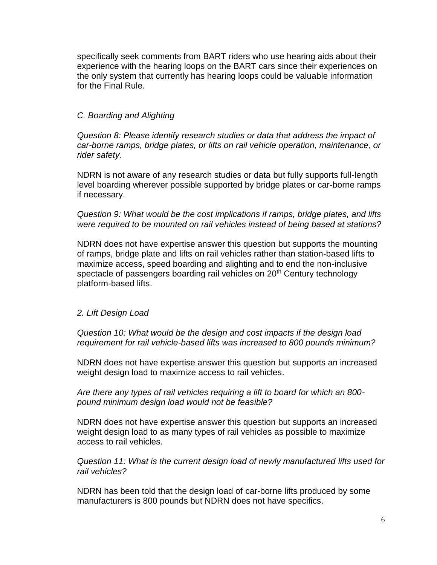specifically seek comments from BART riders who use hearing aids about their experience with the hearing loops on the BART cars since their experiences on the only system that currently has hearing loops could be valuable information for the Final Rule.

## *C. Boarding and Alighting*

*Question 8: Please identify research studies or data that address the impact of car-borne ramps, bridge plates, or lifts on rail vehicle operation, maintenance, or rider safety.*

NDRN is not aware of any research studies or data but fully supports full-length level boarding wherever possible supported by bridge plates or car-borne ramps if necessary.

*Question 9: What would be the cost implications if ramps, bridge plates, and lifts were required to be mounted on rail vehicles instead of being based at stations?*

NDRN does not have expertise answer this question but supports the mounting of ramps, bridge plate and lifts on rail vehicles rather than station-based lifts to maximize access, speed boarding and alighting and to end the non-inclusive spectacle of passengers boarding rail vehicles on 20<sup>th</sup> Century technology platform-based lifts.

### *2. Lift Design Load*

*Question 10: What would be the design and cost impacts if the design load requirement for rail vehicle-based lifts was increased to 800 pounds minimum?* 

NDRN does not have expertise answer this question but supports an increased weight design load to maximize access to rail vehicles.

*Are there any types of rail vehicles requiring a lift to board for which an 800 pound minimum design load would not be feasible?*

NDRN does not have expertise answer this question but supports an increased weight design load to as many types of rail vehicles as possible to maximize access to rail vehicles.

*Question 11: What is the current design load of newly manufactured lifts used for rail vehicles?*

NDRN has been told that the design load of car-borne lifts produced by some manufacturers is 800 pounds but NDRN does not have specifics.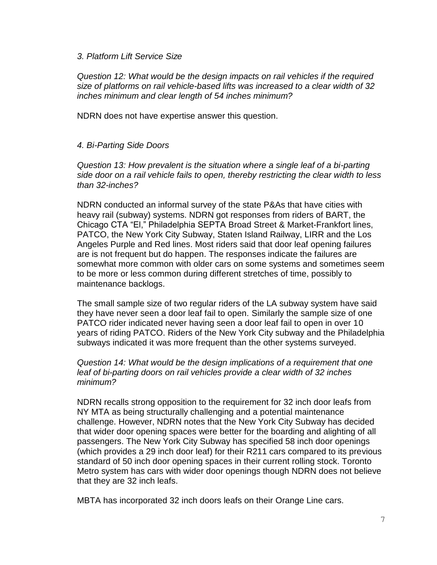#### *3. Platform Lift Service Size*

*Question 12: What would be the design impacts on rail vehicles if the required size of platforms on rail vehicle-based lifts was increased to a clear width of 32 inches minimum and clear length of 54 inches minimum?*

NDRN does not have expertise answer this question.

### *4. Bi-Parting Side Doors*

*Question 13: How prevalent is the situation where a single leaf of a bi-parting side door on a rail vehicle fails to open, thereby restricting the clear width to less than 32-inches?*

NDRN conducted an informal survey of the state P&As that have cities with heavy rail (subway) systems. NDRN got responses from riders of BART, the Chicago CTA "El," Philadelphia SEPTA Broad Street & Market-Frankfort lines, PATCO, the New York City Subway, Staten Island Railway, LIRR and the Los Angeles Purple and Red lines. Most riders said that door leaf opening failures are is not frequent but do happen. The responses indicate the failures are somewhat more common with older cars on some systems and sometimes seem to be more or less common during different stretches of time, possibly to maintenance backlogs.

The small sample size of two regular riders of the LA subway system have said they have never seen a door leaf fail to open. Similarly the sample size of one PATCO rider indicated never having seen a door leaf fail to open in over 10 years of riding PATCO. Riders of the New York City subway and the Philadelphia subways indicated it was more frequent than the other systems surveyed.

### *Question 14: What would be the design implications of a requirement that one leaf of bi-parting doors on rail vehicles provide a clear width of 32 inches minimum?*

NDRN recalls strong opposition to the requirement for 32 inch door leafs from NY MTA as being structurally challenging and a potential maintenance challenge. However, NDRN notes that the New York City Subway has decided that wider door opening spaces were better for the boarding and alighting of all passengers. The New York City Subway has specified 58 inch door openings (which provides a 29 inch door leaf) for their R211 cars compared to its previous standard of 50 inch door opening spaces in their current rolling stock. Toronto Metro system has cars with wider door openings though NDRN does not believe that they are 32 inch leafs.

MBTA has incorporated 32 inch doors leafs on their Orange Line cars.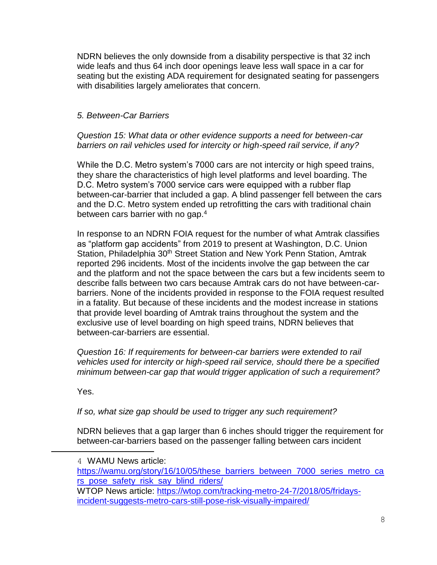NDRN believes the only downside from a disability perspective is that 32 inch wide leafs and thus 64 inch door openings leave less wall space in a car for seating but the existing ADA requirement for designated seating for passengers with disabilities largely ameliorates that concern.

# *5. Between-Car Barriers*

*Question 15: What data or other evidence supports a need for between-car barriers on rail vehicles used for intercity or high-speed rail service, if any?*

While the D.C. Metro system's 7000 cars are not intercity or high speed trains, they share the characteristics of high level platforms and level boarding. The D.C. Metro system's 7000 service cars were equipped with a rubber flap between-car-barrier that included a gap. A blind passenger fell between the cars and the D.C. Metro system ended up retrofitting the cars with traditional chain between cars barrier with no gap.<sup>4</sup>

In response to an NDRN FOIA request for the number of what Amtrak classifies as "platform gap accidents" from 2019 to present at Washington, D.C. Union Station, Philadelphia 30<sup>th</sup> Street Station and New York Penn Station, Amtrak reported 296 incidents. Most of the incidents involve the gap between the car and the platform and not the space between the cars but a few incidents seem to describe falls between two cars because Amtrak cars do not have between-carbarriers. None of the incidents provided in response to the FOIA request resulted in a fatality. But because of these incidents and the modest increase in stations that provide level boarding of Amtrak trains throughout the system and the exclusive use of level boarding on high speed trains, NDRN believes that between-car-barriers are essential.

*Question 16: If requirements for between-car barriers were extended to rail vehicles used for intercity or high-speed rail service, should there be a specified minimum between-car gap that would trigger application of such a requirement?* 

Yes.

a<br>B

*If so, what size gap should be used to trigger any such requirement?*

NDRN believes that a gap larger than 6 inches should trigger the requirement for between-car-barriers based on the passenger falling between cars incident

<sup>4</sup> WAMU News article:

[https://wamu.org/story/16/10/05/these\\_barriers\\_between\\_7000\\_series\\_metro\\_ca](https://wamu.org/story/16/10/05/these_barriers_between_7000_series_metro_cars_pose_safety_risk_say_blind_riders/) [rs\\_pose\\_safety\\_risk\\_say\\_blind\\_riders/](https://wamu.org/story/16/10/05/these_barriers_between_7000_series_metro_cars_pose_safety_risk_say_blind_riders/) WTOP News article: [https://wtop.com/tracking-metro-24-7/2018/05/fridays-](https://wtop.com/tracking-metro-24-7/2018/05/fridays-incident-suggests-metro-cars-still-pose-risk-visually-impaired/)

[incident-suggests-metro-cars-still-pose-risk-visually-impaired/](https://wtop.com/tracking-metro-24-7/2018/05/fridays-incident-suggests-metro-cars-still-pose-risk-visually-impaired/)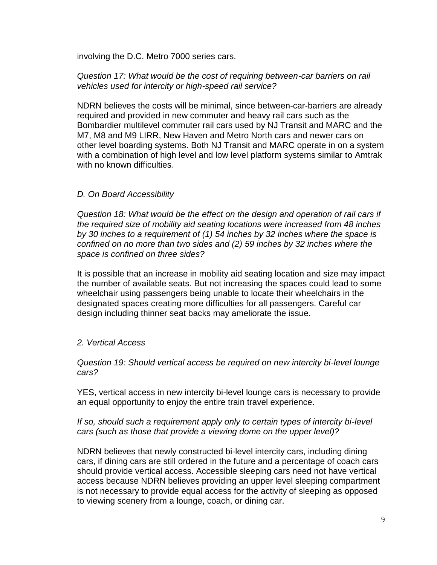involving the D.C. Metro 7000 series cars.

## *Question 17: What would be the cost of requiring between-car barriers on rail vehicles used for intercity or high-speed rail service?*

NDRN believes the costs will be minimal, since between-car-barriers are already required and provided in new commuter and heavy rail cars such as the Bombardier multilevel commuter rail cars used by NJ Transit and MARC and the M7, M8 and M9 LIRR, New Haven and Metro North cars and newer cars on other level boarding systems. Both NJ Transit and MARC operate in on a system with a combination of high level and low level platform systems similar to Amtrak with no known difficulties.

## *D. On Board Accessibility*

*Question 18: What would be the effect on the design and operation of rail cars if the required size of mobility aid seating locations were increased from 48 inches by 30 inches to a requirement of (1) 54 inches by 32 inches where the space is confined on no more than two sides and (2) 59 inches by 32 inches where the space is confined on three sides?*

It is possible that an increase in mobility aid seating location and size may impact the number of available seats. But not increasing the spaces could lead to some wheelchair using passengers being unable to locate their wheelchairs in the designated spaces creating more difficulties for all passengers. Careful car design including thinner seat backs may ameliorate the issue.

### *2. Vertical Access*

*Question 19: Should vertical access be required on new intercity bi-level lounge cars?* 

YES, vertical access in new intercity bi-level lounge cars is necessary to provide an equal opportunity to enjoy the entire train travel experience.

### *If so, should such a requirement apply only to certain types of intercity bi-level cars (such as those that provide a viewing dome on the upper level)?*

NDRN believes that newly constructed bi-level intercity cars, including dining cars, if dining cars are still ordered in the future and a percentage of coach cars should provide vertical access. Accessible sleeping cars need not have vertical access because NDRN believes providing an upper level sleeping compartment is not necessary to provide equal access for the activity of sleeping as opposed to viewing scenery from a lounge, coach, or dining car.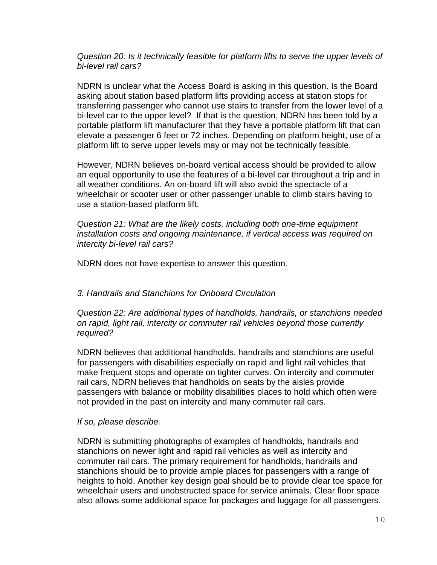### *Question 20: Is it technically feasible for platform lifts to serve the upper levels of bi-level rail cars?*

NDRN is unclear what the Access Board is asking in this question. Is the Board asking about station based platform lifts providing access at station stops for transferring passenger who cannot use stairs to transfer from the lower level of a bi-level car to the upper level? If that is the question, NDRN has been told by a portable platform lift manufacturer that they have a portable platform lift that can elevate a passenger 6 feet or 72 inches. Depending on platform height, use of a platform lift to serve upper levels may or may not be technically feasible.

However, NDRN believes on-board vertical access should be provided to allow an equal opportunity to use the features of a bi-level car throughout a trip and in all weather conditions. An on-board lift will also avoid the spectacle of a wheelchair or scooter user or other passenger unable to climb stairs having to use a station-based platform lift.

*Question 21: What are the likely costs, including both one-time equipment installation costs and ongoing maintenance, if vertical access was required on intercity bi-level rail cars?*

NDRN does not have expertise to answer this question.

### *3. Handrails and Stanchions for Onboard Circulation*

*Question 22: Are additional types of handholds, handrails, or stanchions needed on rapid, light rail, intercity or commuter rail vehicles beyond those currently required?*

NDRN believes that additional handholds, handrails and stanchions are useful for passengers with disabilities especially on rapid and light rail vehicles that make frequent stops and operate on tighter curves. On intercity and commuter rail cars, NDRN believes that handholds on seats by the aisles provide passengers with balance or mobility disabilities places to hold which often were not provided in the past on intercity and many commuter rail cars.

### *If so, please describe.*

NDRN is submitting photographs of examples of handholds, handrails and stanchions on newer light and rapid rail vehicles as well as intercity and commuter rail cars. The primary requirement for handholds, handrails and stanchions should be to provide ample places for passengers with a range of heights to hold. Another key design goal should be to provide clear toe space for wheelchair users and unobstructed space for service animals. Clear floor space also allows some additional space for packages and luggage for all passengers.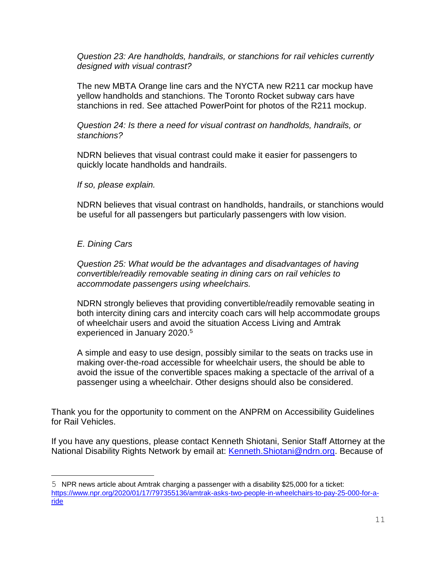*Question 23: Are handholds, handrails, or stanchions for rail vehicles currently designed with visual contrast?*

The new MBTA Orange line cars and the NYCTA new R211 car mockup have yellow handholds and stanchions. The Toronto Rocket subway cars have stanchions in red. See attached PowerPoint for photos of the R211 mockup.

*Question 24: Is there a need for visual contrast on handholds, handrails, or stanchions?*

NDRN believes that visual contrast could make it easier for passengers to quickly locate handholds and handrails.

*If so, please explain.*

NDRN believes that visual contrast on handholds, handrails, or stanchions would be useful for all passengers but particularly passengers with low vision.

### *E. Dining Cars*

i<br>L

*Question 25: What would be the advantages and disadvantages of having convertible/readily removable seating in dining cars on rail vehicles to accommodate passengers using wheelchairs.*

NDRN strongly believes that providing convertible/readily removable seating in both intercity dining cars and intercity coach cars will help accommodate groups of wheelchair users and avoid the situation Access Living and Amtrak experienced in January 2020.<sup>5</sup>

A simple and easy to use design, possibly similar to the seats on tracks use in making over-the-road accessible for wheelchair users, the should be able to avoid the issue of the convertible spaces making a spectacle of the arrival of a passenger using a wheelchair. Other designs should also be considered.

Thank you for the opportunity to comment on the ANPRM on Accessibility Guidelines for Rail Vehicles.

If you have any questions, please contact Kenneth Shiotani, Senior Staff Attorney at the National Disability Rights Network by email at: [Kenneth.Shiotani@ndrn.org.](mailto:Kenneth.Shiotani@ndrn.org) Because of

<sup>5</sup> NPR news article about Amtrak charging a passenger with a disability \$25,000 for a ticket: [https://www.npr.org/2020/01/17/797355136/amtrak-asks-two-people-in-wheelchairs-to-pay-25-000-for-a](https://www.npr.org/2020/01/17/797355136/amtrak-asks-two-people-in-wheelchairs-to-pay-25-000-for-a-ride)[ride](https://www.npr.org/2020/01/17/797355136/amtrak-asks-two-people-in-wheelchairs-to-pay-25-000-for-a-ride)